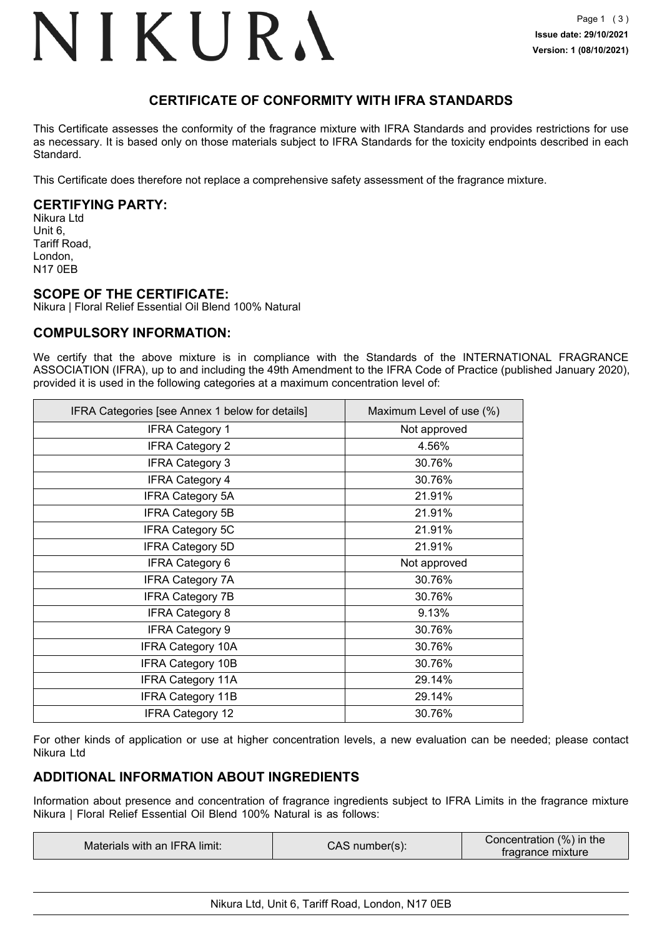## NIKURA

## **CERTIFICATE OF CONFORMITY WITH IFRA STANDARDS**

This Certificate assesses the conformity of the fragrance mixture with IFRA Standards and provides restrictions for use as necessary. It is based only on those materials subject to IFRA Standards for the toxicity endpoints described in each Standard.

This Certificate does therefore not replace a comprehensive safety assessment of the fragrance mixture.

### **CERTIFYING PARTY:**

Nikura Ltd Unit 6, Tariff Road, London, N17 0EB

### **SCOPE OF THE CERTIFICATE:**

Nikura | Floral Relief Essential Oil Blend 100% Natural

### **COMPULSORY INFORMATION:**

We certify that the above mixture is in compliance with the Standards of the INTERNATIONAL FRAGRANCE ASSOCIATION (IFRA), up to and including the 49th Amendment to the IFRA Code of Practice (published January 2020), provided it is used in the following categories at a maximum concentration level of:

| IFRA Categories [see Annex 1 below for details] | Maximum Level of use (%) |
|-------------------------------------------------|--------------------------|
| <b>IFRA Category 1</b>                          | Not approved             |
| <b>IFRA Category 2</b>                          | 4.56%                    |
| <b>IFRA Category 3</b>                          | 30.76%                   |
| <b>IFRA Category 4</b>                          | 30.76%                   |
| <b>IFRA Category 5A</b>                         | 21.91%                   |
| <b>IFRA Category 5B</b>                         | 21.91%                   |
| <b>IFRA Category 5C</b>                         | 21.91%                   |
| <b>IFRA Category 5D</b>                         | 21.91%                   |
| <b>IFRA Category 6</b>                          | Not approved             |
| <b>IFRA Category 7A</b>                         | 30.76%                   |
| <b>IFRA Category 7B</b>                         | 30.76%                   |
| <b>IFRA Category 8</b>                          | 9.13%                    |
| <b>IFRA Category 9</b>                          | 30.76%                   |
| <b>IFRA Category 10A</b>                        | 30.76%                   |
| <b>IFRA Category 10B</b>                        | 30.76%                   |
| <b>IFRA Category 11A</b>                        | 29.14%                   |
| <b>IFRA Category 11B</b>                        | 29.14%                   |
| <b>IFRA Category 12</b>                         | 30.76%                   |

For other kinds of application or use at higher concentration levels, a new evaluation can be needed; please contact Nikura Ltd

## **ADDITIONAL INFORMATION ABOUT INGREDIENTS**

Information about presence and concentration of fragrance ingredients subject to IFRA Limits in the fragrance mixture Nikura | Floral Relief Essential Oil Blend 100% Natural is as follows:

| Concentration (%) in the<br>CAS number(s):<br>Materials with an IFRA limit:<br>tragrance mixture |
|--------------------------------------------------------------------------------------------------|
|--------------------------------------------------------------------------------------------------|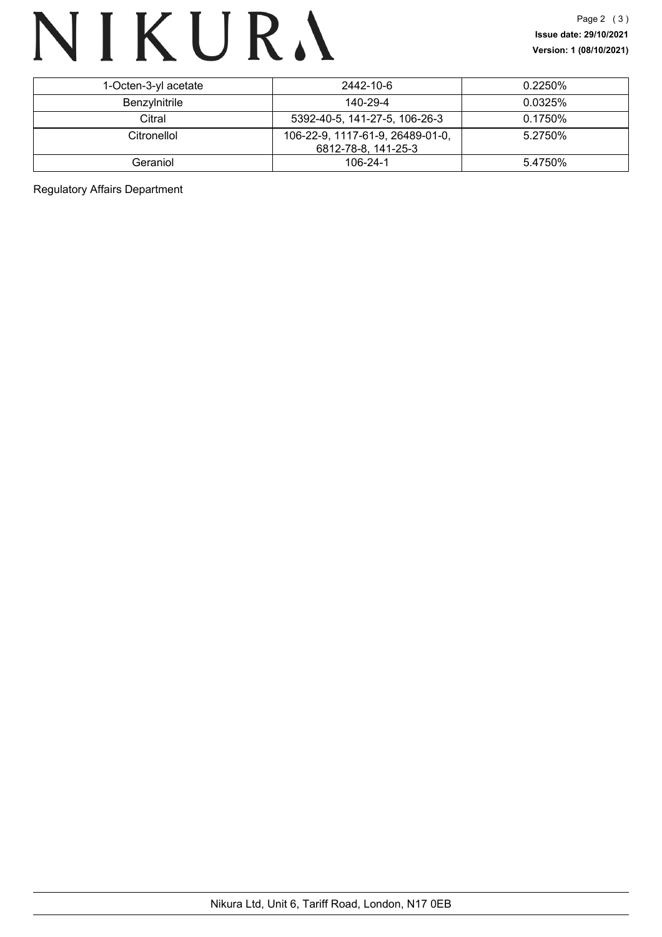# NIKURA

| 1-Octen-3-yl acetate | 2442-10-6                        | $0.2250\%$ |
|----------------------|----------------------------------|------------|
| Benzylnitrile        | 140-29-4                         | $0.0325\%$ |
| Citral               | 5392-40-5, 141-27-5, 106-26-3    | 0.1750%    |
| Citronellol          | 106-22-9, 1117-61-9, 26489-01-0, | 5.2750%    |
|                      | 6812-78-8, 141-25-3              |            |
| Geraniol             | 106-24-1                         | 5.4750%    |

Regulatory Affairs Department